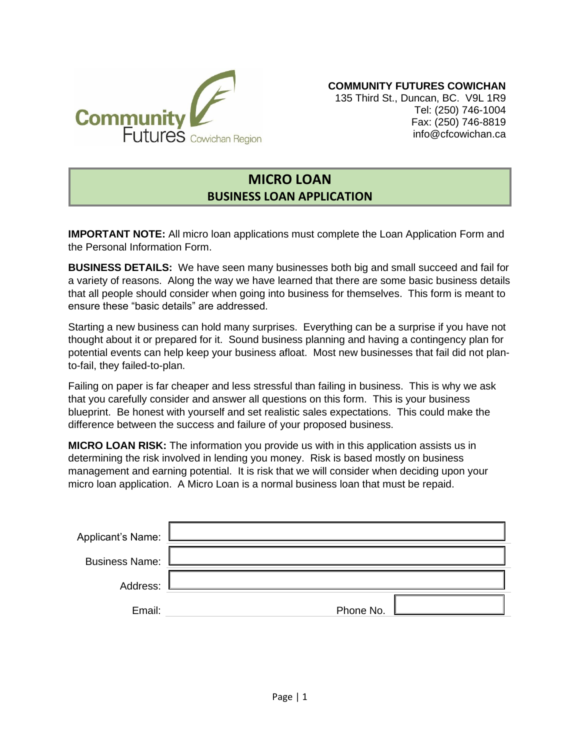

**COMMUNITY FUTURES COWICHAN**

135 Third St., Duncan, BC. V9L 1R9 Tel: (250) 746-1004 Fax: (250) 746-8819 info@cfcowichan.ca

## **MICRO LOAN BUSINESS LOAN APPLICATION**

**IMPORTANT NOTE:** All micro loan applications must complete the Loan Application Form and the Personal Information Form.

**BUSINESS DETAILS:** We have seen many businesses both big and small succeed and fail for a variety of reasons. Along the way we have learned that there are some basic business details that all people should consider when going into business for themselves. This form is meant to ensure these "basic details" are addressed.

Starting a new business can hold many surprises. Everything can be a surprise if you have not thought about it or prepared for it. Sound business planning and having a contingency plan for potential events can help keep your business afloat. Most new businesses that fail did not planto-fail, they failed-to-plan.

Failing on paper is far cheaper and less stressful than failing in business. This is why we ask that you carefully consider and answer all questions on this form. This is your business blueprint. Be honest with yourself and set realistic sales expectations. This could make the difference between the success and failure of your proposed business.

**MICRO LOAN RISK:** The information you provide us with in this application assists us in determining the risk involved in lending you money. Risk is based mostly on business management and earning potential. It is risk that we will consider when deciding upon your micro loan application. A Micro Loan is a normal business loan that must be repaid.

| Applicant's Name:     |           |
|-----------------------|-----------|
| <b>Business Name:</b> |           |
| Address:              |           |
| Email:                | Phone No. |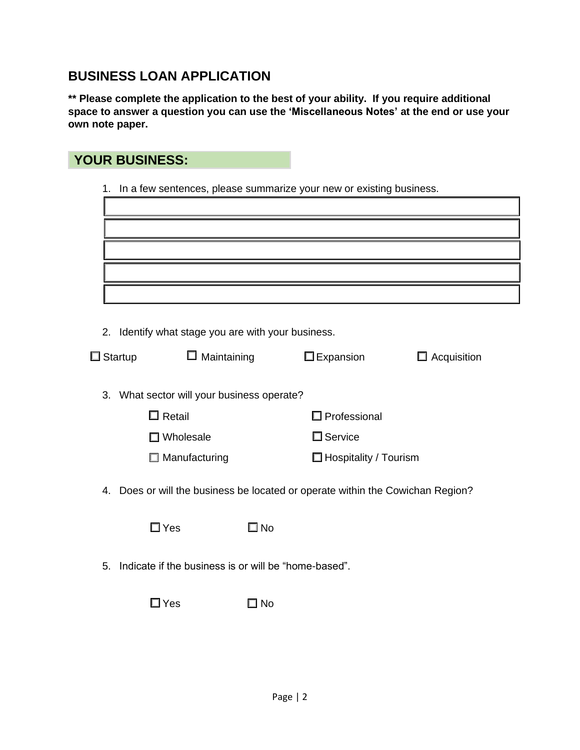# **BUSINESS LOAN APPLICATION**

**\*\* Please complete the application to the best of your ability. If you require additional space to answer a question you can use the 'Miscellaneous Notes' at the end or use your own note paper.**

| <b>YOUR BUSINESS:</b>                                                          |              |                              |                    |
|--------------------------------------------------------------------------------|--------------|------------------------------|--------------------|
| 1. In a few sentences, please summarize your new or existing business.         |              |                              |                    |
|                                                                                |              |                              |                    |
|                                                                                |              |                              |                    |
|                                                                                |              |                              |                    |
|                                                                                |              |                              |                    |
|                                                                                |              |                              |                    |
|                                                                                |              |                              |                    |
| 2. Identify what stage you are with your business.                             |              |                              |                    |
| $\Box$ Maintaining<br>$\Box$ Startup                                           |              | $\square$ Expansion          | $\Box$ Acquisition |
| 3. What sector will your business operate?                                     |              |                              |                    |
| $\Box$ Retail                                                                  |              | $\Box$ Professional          |                    |
| $\Box$ Wholesale                                                               |              | $\square$ Service            |                    |
| $\Box$ Manufacturing                                                           |              | $\Box$ Hospitality / Tourism |                    |
| 4. Does or will the business be located or operate within the Cowichan Region? |              |                              |                    |
| $\square$ Yes                                                                  | $\square$ No |                              |                    |
| 5. Indicate if the business is or will be "home-based".                        |              |                              |                    |
| $\square$ Yes                                                                  | هN I         |                              |                    |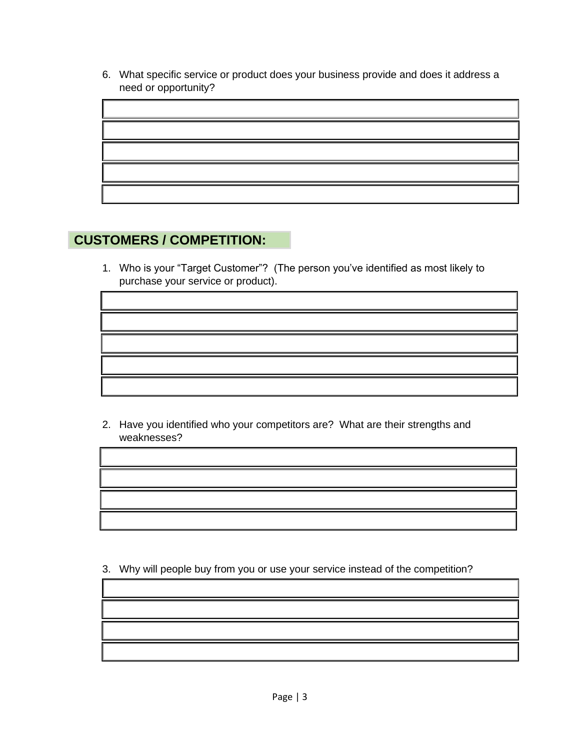6. What specific service or product does your business provide and does it address a need or opportunity?



### **CUSTOMERS / COMPETITION:**

1. Who is your "Target Customer"? (The person you've identified as most likely to purchase your service or product).

2. Have you identified who your competitors are? What are their strengths and weaknesses?

3. Why will people buy from you or use your service instead of the competition?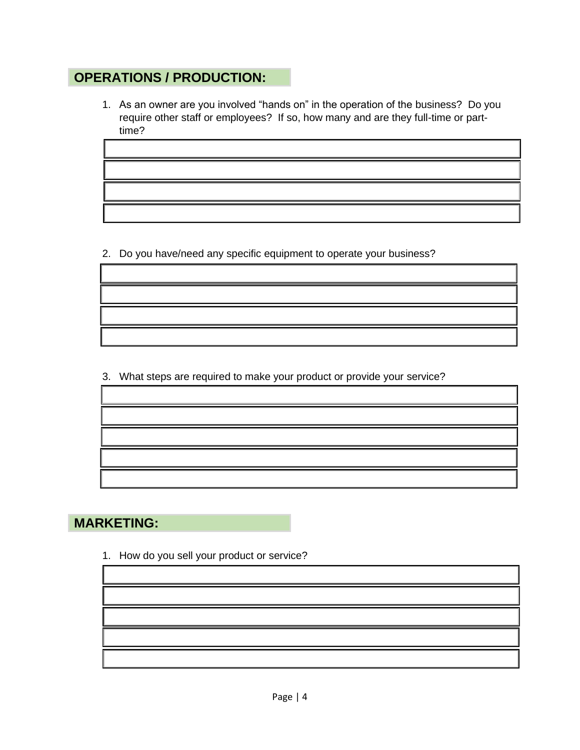# **OPERATIONS / PRODUCTION:**

1. As an owner are you involved "hands on" in the operation of the business? Do you require other staff or employees? If so, how many and are they full-time or parttime?

2. Do you have/need any specific equipment to operate your business?

3. What steps are required to make your product or provide your service?

## **MARKETING:**

1. How do you sell your product or service?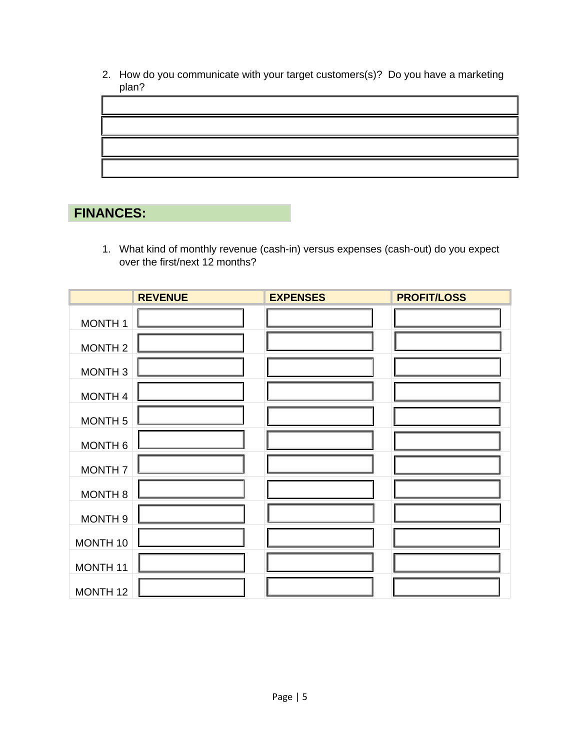2. How do you communicate with your target customers(s)? Do you have a marketing plan?



# **FINANCES:**

1. What kind of monthly revenue (cash-in) versus expenses (cash-out) do you expect over the first/next 12 months?

|                     | <b>REVENUE</b> | <b>EXPENSES</b> | <b>PROFIT/LOSS</b> |
|---------------------|----------------|-----------------|--------------------|
| <b>MONTH1</b>       |                |                 |                    |
| <b>MONTH2</b>       |                |                 |                    |
| MONTH <sub>3</sub>  |                |                 |                    |
| MONTH <sub>4</sub>  |                |                 |                    |
| <b>MONTH 5</b>      |                |                 |                    |
| <b>MONTH 6</b>      |                |                 |                    |
| <b>MONTH7</b>       |                |                 |                    |
| <b>MONTH 8</b>      |                |                 |                    |
| <b>MONTH 9</b>      |                |                 |                    |
| MONTH 10            |                |                 |                    |
| MONTH <sub>11</sub> |                |                 |                    |
| MONTH <sub>12</sub> |                |                 |                    |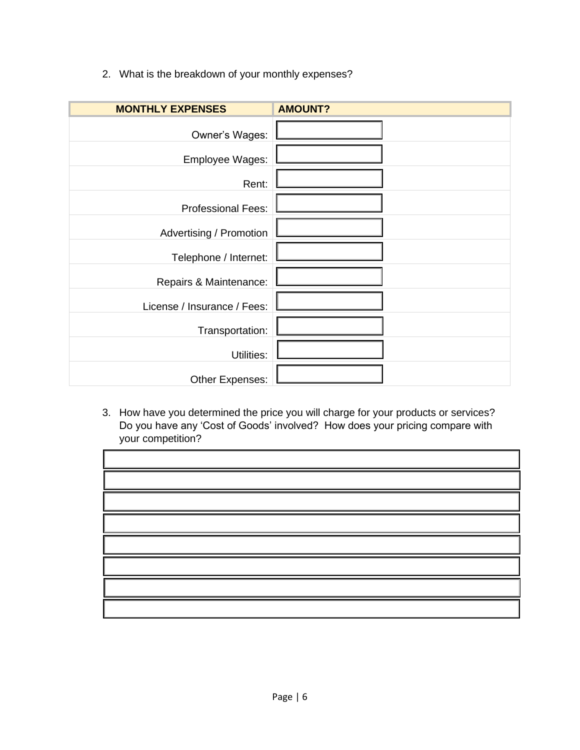2. What is the breakdown of your monthly expenses?

| <b>MONTHLY EXPENSES</b>     | <b>AMOUNT?</b> |
|-----------------------------|----------------|
| Owner's Wages:              |                |
| Employee Wages:             |                |
| Rent:                       |                |
| <b>Professional Fees:</b>   |                |
| Advertising / Promotion     |                |
| Telephone / Internet:       |                |
| Repairs & Maintenance:      |                |
| License / Insurance / Fees: |                |
| Transportation:             |                |
| Utilities:                  |                |
| Other Expenses:             |                |

3. How have you determined the price you will charge for your products or services? Do you have any 'Cost of Goods' involved? How does your pricing compare with your competition?

| e de la construcción de la construcción de la construcción de la construcción de la construcción de la construcción<br>En la construcción de la construcción de la construcción de la construcción de la construcción de la const |  |
|-----------------------------------------------------------------------------------------------------------------------------------------------------------------------------------------------------------------------------------|--|
|                                                                                                                                                                                                                                   |  |
|                                                                                                                                                                                                                                   |  |
|                                                                                                                                                                                                                                   |  |
|                                                                                                                                                                                                                                   |  |
|                                                                                                                                                                                                                                   |  |
|                                                                                                                                                                                                                                   |  |
|                                                                                                                                                                                                                                   |  |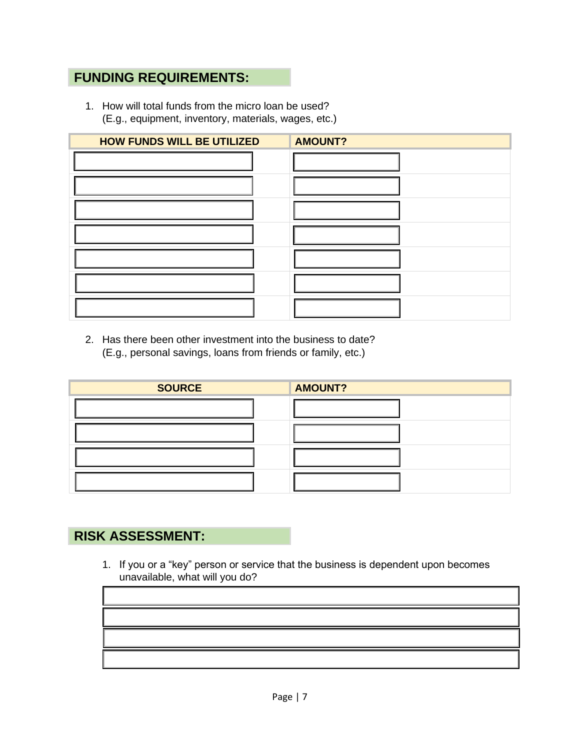## **FUNDING REQUIREMENTS:**

1. How will total funds from the micro loan be used? (E.g., equipment, inventory, materials, wages, etc.)

| <b>HOW FUNDS WILL BE UTILIZED</b> | <b>AMOUNT?</b> |
|-----------------------------------|----------------|
|                                   |                |
|                                   |                |
|                                   |                |
|                                   |                |
|                                   |                |
|                                   |                |
|                                   |                |

2. Has there been other investment into the business to date? (E.g., personal savings, loans from friends or family, etc.)

| <b>SOURCE</b> | <b>AMOUNT?</b> |
|---------------|----------------|
|               |                |
|               |                |
|               |                |
|               |                |

# **RISK ASSESSMENT:**

1. If you or a "key" person or service that the business is dependent upon becomes unavailable, what will you do?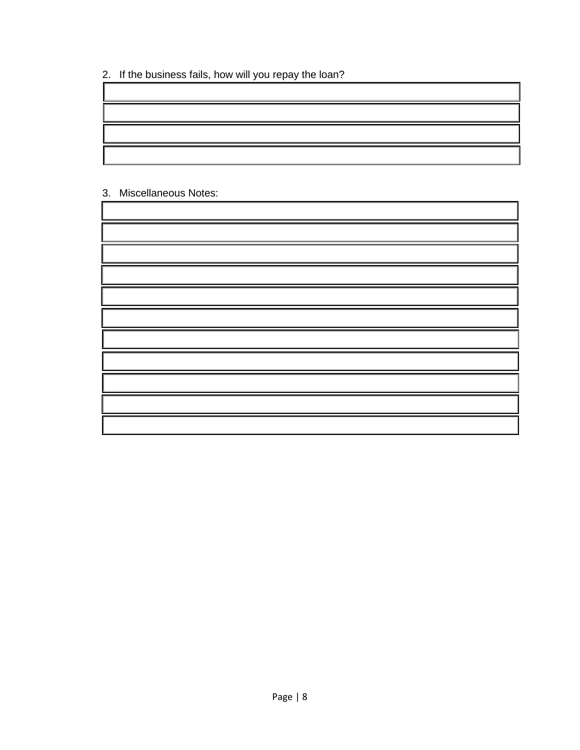2. If the business fails, how will you repay the loan?

#### 3. Miscellaneous Notes:

| ,一个人都是一个人的人,而且,他们的人都是一个人,而且,他们的人都是一个人,而且,他们的人都是一个人,而且,他们的人都是一个人,而且,他们的人都是一个人,而且,<br>第一百一十一章 一个人,他们的人都是一个人,他们的人都是一个人,他们的人都是一个人,他们的人都是一个人,他们的人都是一个人,他们的人都是一个人,他们的人都是一个<br>,一个人的人都是一个人的人,但是,他们的人都是一个人的人,但是,他们的人都是不是,他们的人都是不是,他们的人都是不是,他们的人都是不是,他们的人都是不是,他们的 |  |
|----------------------------------------------------------------------------------------------------------------------------------------------------------------------------------------------------------------------------------------------------------|--|
|                                                                                                                                                                                                                                                          |  |
|                                                                                                                                                                                                                                                          |  |
|                                                                                                                                                                                                                                                          |  |
| a shekarar 1980 haqida qayta tashkil qayta tashkil bilan ma'lumot olib tashkil tashkil tashkil tashkil tashkil                                                                                                                                           |  |
| ,一个人的人都是一个人的人,但是,他们的人都是不是,他们的人都是不是,他们的人都是不是,他们的人都是不是,他们的人都是不是,他们的人都是不是,他们的人都是不是,<br>第251章 我们的人,我们的人都是不是,我们的人都是不是,我们的人都是不是,我们的人都是不是,我们的人都是不是,我们的人都是不是,我们的人都是不是,我们的人都是                                                                                     |  |
| ,我们就会在这里,我们的人们就会在这里,我们的人们就会在这里,我们的人们就会在这里,我们的人们就会在这里,我们的人们就会在这里,我们的人们就会在这里,我们的人们                                                                                                                                                                         |  |
| ,我们也不会有什么?""我们的话,我们也不会有什么?""我们的话,我们也不会有什么?""我们的话,我们也不会有什么?""我们的话,我们也不会有什么?""我们的话                                                                                                                                                                         |  |
|                                                                                                                                                                                                                                                          |  |
|                                                                                                                                                                                                                                                          |  |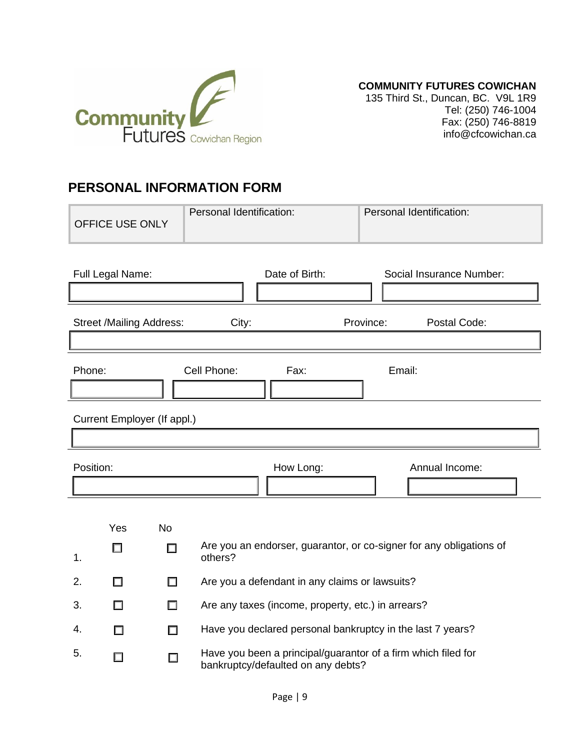

**COMMUNITY FUTURES COWICHAN**

135 Third St., Duncan, BC. V9L 1R9 Tel: (250) 746-1004 Fax: (250) 746-8819 info@cfcowichan.ca

### **PERSONAL INFORMATION FORM**

| <b>OFFICE USE ONLY</b>           | Personal Identification:                                                                            | Personal Identification:                                            |  |  |  |
|----------------------------------|-----------------------------------------------------------------------------------------------------|---------------------------------------------------------------------|--|--|--|
| Full Legal Name:                 | Date of Birth:                                                                                      | Social Insurance Number:                                            |  |  |  |
|                                  | <b>Street /Mailing Address:</b><br>Postal Code:<br>City:<br>Province:                               |                                                                     |  |  |  |
| Phone:                           | Cell Phone:<br>Email:<br>Fax:                                                                       |                                                                     |  |  |  |
| Current Employer (If appl.)      |                                                                                                     |                                                                     |  |  |  |
| Position:                        | How Long:                                                                                           | Annual Income:                                                      |  |  |  |
| Yes<br><b>No</b><br>□<br>П<br>1. | others?                                                                                             | Are you an endorser, guarantor, or co-signer for any obligations of |  |  |  |
| 2.<br>□<br>□                     | Are you a defendant in any claims or lawsuits?                                                      |                                                                     |  |  |  |
| 3.<br>□<br>П                     | Are any taxes (income, property, etc.) in arrears?                                                  |                                                                     |  |  |  |
| 4.<br>П<br>H                     |                                                                                                     | Have you declared personal bankruptcy in the last 7 years?          |  |  |  |
| 5.                               | Have you been a principal/guarantor of a firm which filed for<br>bankruptcy/defaulted on any debts? |                                                                     |  |  |  |